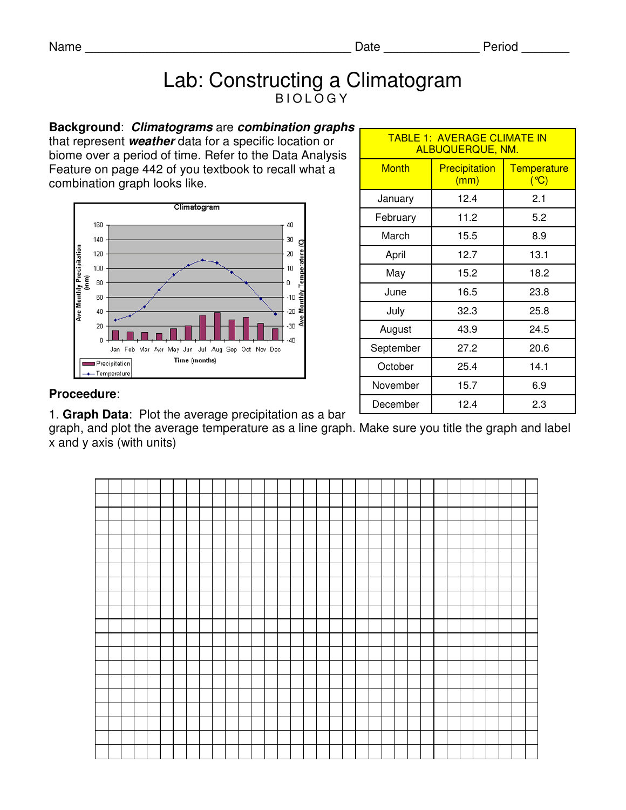## Lab: Constructing a Climatogram **BIOLOGY**

**Background**: **Climatograms** are **combination graphs**  that represent **weather** data for a specific location or biome over a period of time. Refer to the Data Analysis Feature on page 442 of you textbook to recall what a combination graph looks like.



| <b>TABLE 1: AVERAGE CLIMATE IN</b><br>ALBUQUERQUE, NM. |                              |                              |
|--------------------------------------------------------|------------------------------|------------------------------|
| <b>Month</b>                                           | <b>Precipitation</b><br>(mm) | Temperature<br>$(C^{\circ})$ |
| January                                                | 12.4                         | 2.1                          |
| February                                               | 11.2                         | 5.2                          |
| March                                                  | 15.5                         | 8.9                          |
| April                                                  | 12.7                         | 13.1                         |
| May                                                    | 15.2                         | 18.2                         |
| June                                                   | 16.5                         | 23.8                         |
| July                                                   | 32.3                         | 25.8                         |
| August                                                 | 43.9                         | 24.5                         |
| September                                              | 27.2                         | 20.6                         |
| October                                                | 25.4                         | 14.1                         |
| November                                               | 15.7                         | 6.9                          |
| December                                               | 12.4                         | 2.3                          |

## **Proceedure**:

1. **Graph Data**: Plot the average precipitation as a bar

graph, and plot the average temperature as a line graph. Make sure you title the graph and label x and y axis (with units)